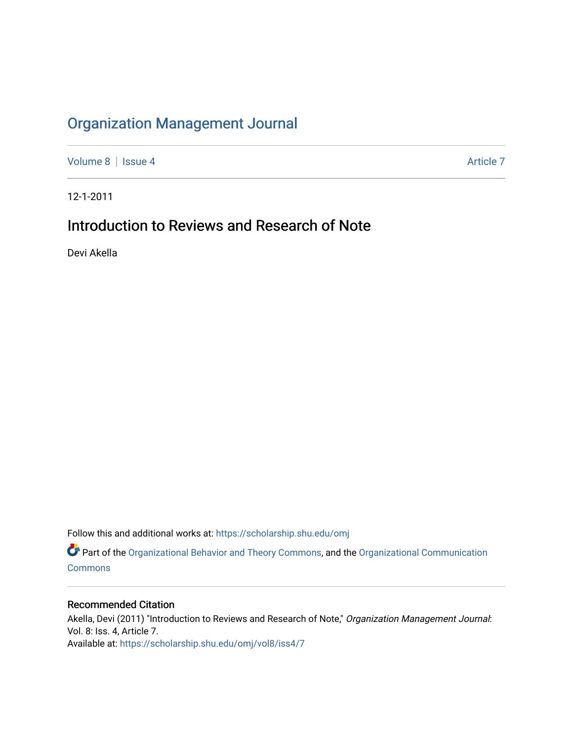## [Organization Management Journal](https://scholarship.shu.edu/omj)

[Volume 8](https://scholarship.shu.edu/omj/vol8) | [Issue 4](https://scholarship.shu.edu/omj/vol8/iss4) Article 7

12-1-2011

## Introduction to Reviews and Research of Note

Devi Akella

Follow this and additional works at: [https://scholarship.shu.edu/omj](https://scholarship.shu.edu/omj?utm_source=scholarship.shu.edu%2Fomj%2Fvol8%2Fiss4%2F7&utm_medium=PDF&utm_campaign=PDFCoverPages) 

Part of the [Organizational Behavior and Theory Commons,](http://network.bepress.com/hgg/discipline/639?utm_source=scholarship.shu.edu%2Fomj%2Fvol8%2Fiss4%2F7&utm_medium=PDF&utm_campaign=PDFCoverPages) and the [Organizational Communication](http://network.bepress.com/hgg/discipline/335?utm_source=scholarship.shu.edu%2Fomj%2Fvol8%2Fiss4%2F7&utm_medium=PDF&utm_campaign=PDFCoverPages) **[Commons](http://network.bepress.com/hgg/discipline/335?utm_source=scholarship.shu.edu%2Fomj%2Fvol8%2Fiss4%2F7&utm_medium=PDF&utm_campaign=PDFCoverPages)** 

## Recommended Citation

Akella, Devi (2011) "Introduction to Reviews and Research of Note," Organization Management Journal: Vol. 8: Iss. 4, Article 7. Available at: [https://scholarship.shu.edu/omj/vol8/iss4/7](https://scholarship.shu.edu/omj/vol8/iss4/7?utm_source=scholarship.shu.edu%2Fomj%2Fvol8%2Fiss4%2F7&utm_medium=PDF&utm_campaign=PDFCoverPages)